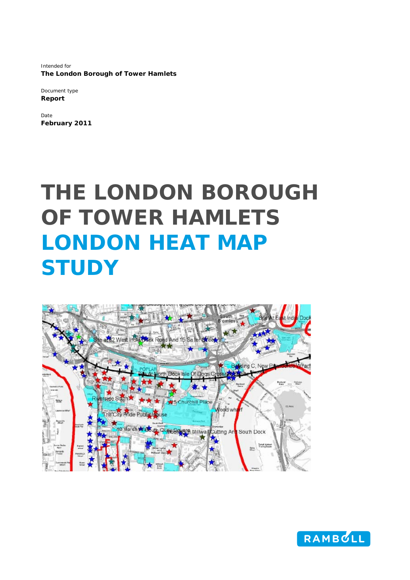Intended for **The London Borough of Tower Hamlets** 

Document type **Report** 

Date **February 2011** 

# **THE LONDON BOROUGH OF TOWER HAMLETS LONDON HEAT MAP STUDY**



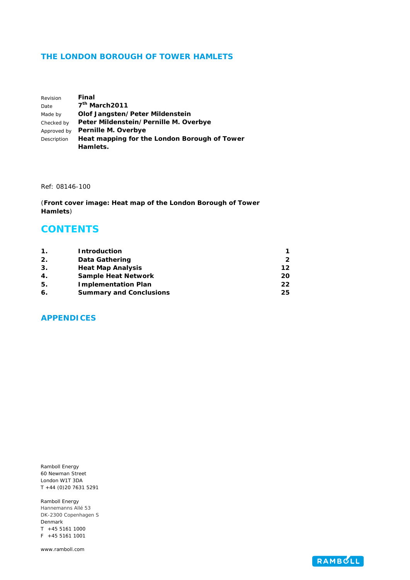#### **THE LONDON BOROUGH OF TOWER HAMLETS**

| Revision    | Final                                        |
|-------------|----------------------------------------------|
| Date        | 7 <sup>th</sup> March2011                    |
| Made by     | Olof Jangsten/Peter Mildenstein              |
| Checked by  | Peter Mildenstein/Pernille M. Overbye        |
| Approved by | Pernille M. Overbye                          |
| Description | Heat mapping for the London Borough of Tower |
|             | Hamlets.                                     |

Ref: 08146-100

(**Front cover image: Heat map of the London Borough of Tower Hamlets**)

## **CONTENTS**

| 1. | <b>Introduction</b>            |    |
|----|--------------------------------|----|
| 2. | <b>Data Gathering</b>          |    |
| 3. | <b>Heat Map Analysis</b>       | 12 |
| 4. | <b>Sample Heat Network</b>     | 20 |
| 5. | <b>Implementation Plan</b>     | 22 |
| 6. | <b>Summary and Conclusions</b> | 25 |

### **APPENDICES**

Ramboll Energy 60 Newman Street London W1T 3DA T +44 (0)20 7631 5291

Ramboll Energy Hannemanns Allé 53 DK-2300 Copenhagen S Denmark T +45 5161 1000 F +45 5161 1001

www.ramboll.com

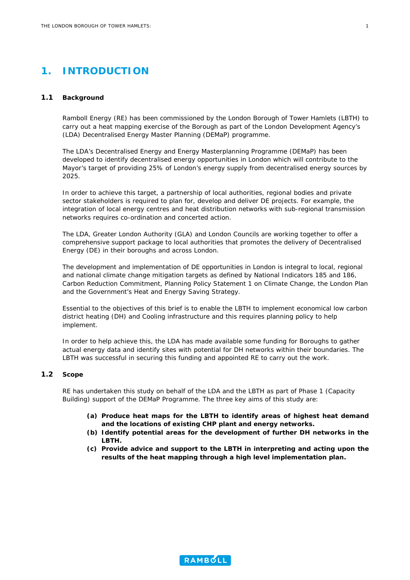## <span id="page-2-0"></span>**1. INTRODUCTION**

#### **1.1 Background**

Ramboll Energy (RE) has been commissioned by the London Borough of Tower Hamlets (LBTH) to carry out a heat mapping exercise of the Borough as part of the London Development Agency's (LDA) Decentralised Energy Master Planning (DEMaP) programme.

The LDA's Decentralised Energy and Energy Masterplanning Programme (DEMaP) has been developed to identify decentralised energy opportunities in London which will contribute to the Mayor's target of providing 25% of London's energy supply from decentralised energy sources by 2025.

In order to achieve this target, a partnership of local authorities, regional bodies and private sector stakeholders is required to plan for, develop and deliver DE projects. For example, the integration of local energy centres and heat distribution networks with sub-regional transmission networks requires co-ordination and concerted action.

The LDA, Greater London Authority (GLA) and London Councils are working together to offer a comprehensive support package to local authorities that promotes the delivery of Decentralised Energy (DE) in their boroughs and across London.

The development and implementation of DE opportunities in London is integral to local, regional and national climate change mitigation targets as defined by National Indicators 185 and 186, Carbon Reduction Commitment, Planning Policy Statement 1 on Climate Change, the London Plan and the Government's Heat and Energy Saving Strategy.

Essential to the objectives of this brief is to enable the LBTH to implement economical low carbon district heating (DH) and Cooling infrastructure and this requires planning policy to help implement.

In order to help achieve this, the LDA has made available some funding for Boroughs to gather actual energy data and identify sites with potential for DH networks within their boundaries. The LBTH was successful in securing this funding and appointed RE to carry out the work.

#### **1.2 Scope**

RE has undertaken this study on behalf of the LDA and the LBTH as part of Phase 1 (Capacity Building) support of the DEMaP Programme. The three key aims of this study are:

- *(a) Produce heat maps for the LBTH to identify areas of highest heat demand and the locations of existing CHP plant and energy networks.*
- *(b) Identify potential areas for the development of further DH networks in the LBTH.*
- *(c) Provide advice and support to the LBTH in interpreting and acting upon the results of the heat mapping through a high level implementation plan.*



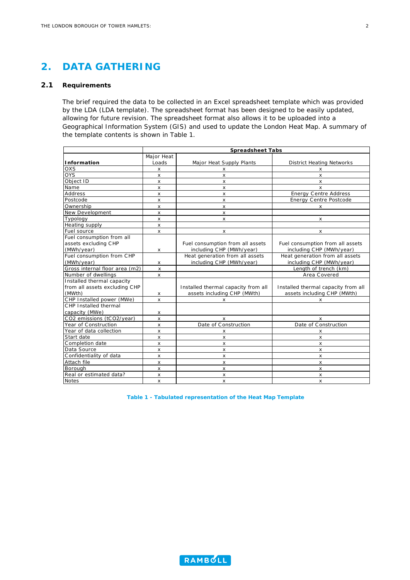## <span id="page-3-0"></span>**2. DATA GATHERING**

#### **2.1 Requirements**

The brief required the data to be collected in an Excel spreadsheet template which was provided by the LDA (LDA template). The spreadsheet format has been designed to be easily updated, allowing for future revision. The spreadsheet format also allows it to be uploaded into a Geographical Information System (GIS) and used to update the London Heat Map. A summary of the template contents is shown in [Table 1.](#page-3-1)

| <b>Spreadsheet Tabs</b>        |                |                                     |                                     |
|--------------------------------|----------------|-------------------------------------|-------------------------------------|
|                                | Major Heat     |                                     |                                     |
| Information                    | Loads          | Major Heat Supply Plants            | <b>District Heating Networks</b>    |
| OXS                            | X              | x                                   | x                                   |
| <b>OYS</b>                     | $\mathsf{x}$   | X                                   | $\mathsf{x}$                        |
| Object ID                      | $\mathsf{x}$   | x                                   | $\mathsf{x}$                        |
| Name                           | $\mathsf{x}$   | X                                   | $\mathsf{x}$                        |
| Address                        | $\mathsf{x}$   | X                                   | <b>Energy Centre Address</b>        |
| Postcode                       | X              | x                                   | <b>Energy Centre Postcode</b>       |
| Ownership                      | X              | X                                   | X                                   |
| <b>New Development</b>         | $\pmb{\times}$ | X                                   |                                     |
| Typology                       | X              | X                                   | $\times$                            |
| Heating supply                 | $\mathsf{x}$   |                                     |                                     |
| Fuel source                    | X              | X                                   | X                                   |
| Fuel consumption from all      |                |                                     |                                     |
| assets excluding CHP           |                | Fuel consumption from all assets    | Fuel consumption from all assets    |
| (MWh/year)                     | x              | including CHP (MWh/year)            | including CHP (MWh/year)            |
| Fuel consumption from CHP      |                | Heat generation from all assets     | Heat generation from all assets     |
| (MWh/year)                     | x              | including CHP (MWh/year)            | including CHP (MWh/year)            |
| Gross internal floor area (m2) | $\pmb{\times}$ |                                     | Length of trench (km)               |
| Number of dwellings            | $\pmb{\times}$ |                                     | Area Covered                        |
| Installed thermal capacity     |                |                                     |                                     |
| from all assets excluding CHP  |                | Installed thermal capacity from all | Installed thermal capacity from all |
| (MWth)                         | х              | assets including CHP (MWth)         | assets including CHP (MWth)         |
| CHP Installed power (MWe)      | X              | x                                   | x                                   |
| CHP Installed thermal          |                |                                     |                                     |
| capacity (MWe)                 | x              |                                     |                                     |
| CO2 emissions (tCO2/year)      | $\pmb{\times}$ | x                                   | x                                   |
| Year of Construction           | $\mathsf{x}$   | Date of Construction                | Date of Construction                |
| Year of data collection        | x              | x                                   | x                                   |
| Start date                     | $\mathsf{x}$   | $\mathsf{x}$                        | x                                   |
| Completion date                | $\mathsf{x}$   | X                                   | X                                   |
| Data Source                    | $\mathsf{x}$   | X                                   | x                                   |
| Confidentiality of data        | $\mathsf{x}$   | X                                   | $\mathsf{x}$                        |
| Attach file                    | X              | x                                   | X                                   |
| Borough                        | X              | x                                   | $\times$                            |
| Real or estimated data?        | x              | x                                   | x                                   |
| <b>Notes</b>                   | X              | x                                   | x                                   |

<span id="page-3-1"></span>**Table 1 - Tabulated representation of the Heat Map Template** 

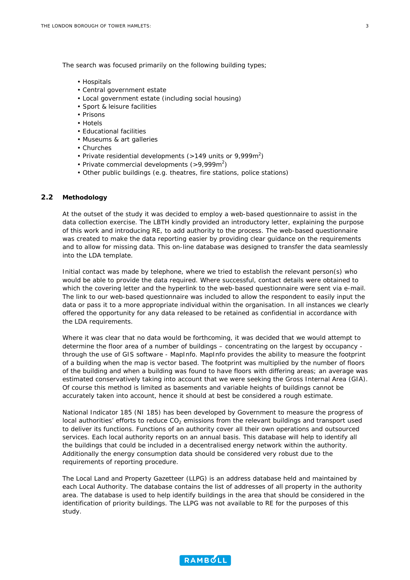The search was focused primarily on the following building types;

- Hospitals
- Central government estate
- Local government estate (including social housing)
- Sport & leisure facilities
- Prisons
- Hotels
- Educational facilities
- Museums & art galleries
- Churches
- Private residential developments ( $>$ 149 units or 9,999m<sup>2</sup>)
- Private commercial developments  $(>9,999m^2)$
- Other public buildings (e.g. theatres, fire stations, police stations)

#### **2.2 Methodology**

At the outset of the study it was decided to employ a web-based questionnaire to assist in the data collection exercise. The LBTH kindly provided an introductory letter, explaining the purpose of this work and introducing RE, to add authority to the process. The web-based questionnaire was created to make the data reporting easier by providing clear guidance on the requirements and to allow for missing data. This on-line database was designed to transfer the data seamlessly into the LDA template.

Initial contact was made by telephone, where we tried to establish the relevant person(s) who would be able to provide the data required. Where successful, contact details were obtained to which the covering letter and the hyperlink to the web-based questionnaire were sent via e-mail. The link to our web-based questionnaire was included to allow the respondent to easily input the data or pass it to a more appropriate individual within the organisation. In all instances we clearly offered the opportunity for any data released to be retained as confidential in accordance with the LDA requirements.

Where it was clear that no data would be forthcoming, it was decided that we would attempt to determine the floor area of a number of buildings – concentrating on the largest by occupancy through the use of GIS software - MapInfo. MapInfo provides the ability to measure the footprint of a building when the map is vector based. The footprint was multiplied by the number of floors of the building and when a building was found to have floors with differing areas; an average was estimated conservatively taking into account that we were seeking the Gross Internal Area (GIA). Of course this method is limited as basements and variable heights of buildings cannot be accurately taken into account, hence it should at best be considered a rough estimate.

National Indicator 185 (NI 185) has been developed by Government to measure the progress of local authorities' efforts to reduce  $CO<sub>2</sub>$  emissions from the relevant buildings and transport used to deliver its functions. Functions of an authority cover all their own operations and outsourced services. Each local authority reports on an annual basis. This database will help to identify all the buildings that could be included in a decentralised energy network within the authority. Additionally the energy consumption data should be considered very robust due to the requirements of reporting procedure.

The Local Land and Property Gazetteer (LLPG) is an address database held and maintained by each Local Authority. The database contains the list of addresses of all property in the authority area. The database is used to help identify buildings in the area that should be considered in the identification of priority buildings. The LLPG was not available to RE for the purposes of this study.

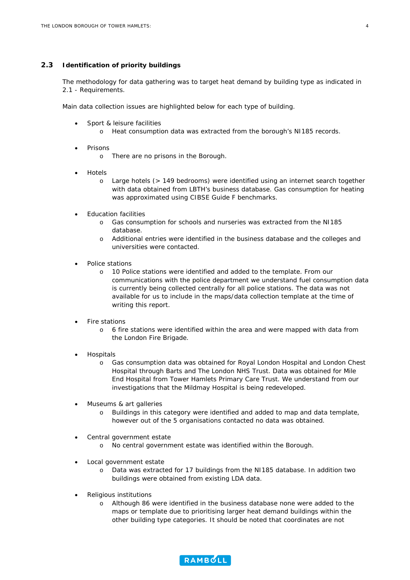#### **2.3 Identification of priority buildings**

The methodology for data gathering was to target heat demand by building type as indicated in 2.1 - Requirements.

Main data collection issues are highlighted below for each type of building.

- Sport & leisure facilities
	- o Heat consumption data was extracted from the borough's NI185 records.
- **Prisons** 
	- o There are no prisons in the Borough.
- Hotels
	- o Large hotels (> 149 bedrooms) were identified using an internet search together with data obtained from LBTH's business database. Gas consumption for heating was approximated using CIBSE Guide F benchmarks.
- Education facilities
	- o Gas consumption for schools and nurseries was extracted from the NI185 database.
	- o Additional entries were identified in the business database and the colleges and universities were contacted.
- Police stations
	- o 10 Police stations were identified and added to the template. From our communications with the police department we understand fuel consumption data is currently being collected centrally for all police stations. The data was not available for us to include in the maps/data collection template at the time of writing this report.
- Fire stations
	- o 6 fire stations were identified within the area and were mapped with data from the London Fire Brigade.
- Hospitals
	- o Gas consumption data was obtained for Royal London Hospital and London Chest Hospital through Barts and The London NHS Trust. Data was obtained for Mile End Hospital from Tower Hamlets Primary Care Trust. We understand from our investigations that the Mildmay Hospital is being redeveloped.
- Museums & art galleries
	- o Buildings in this category were identified and added to map and data template, however out of the 5 organisations contacted no data was obtained.
- Central government estate
	- o No central government estate was identified within the Borough.
- Local government estate
	- o Data was extracted for 17 buildings from the NI185 database. In addition two buildings were obtained from existing LDA data.
- Religious institutions
	- o Although 86 were identified in the business database none were added to the maps or template due to prioritising larger heat demand buildings within the other building type categories. It should be noted that coordinates are not

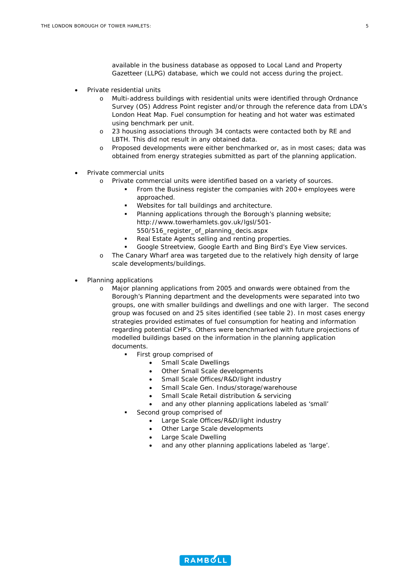available in the business database as opposed to Local Land and Property Gazetteer (LLPG) database, which we could not access during the project.

- Private residential units
	- o Multi-address buildings with residential units were identified through Ordnance Survey (OS) Address Point register and/or through the reference data from LDA's London Heat Map. Fuel consumption for heating and hot water was estimated using benchmark per unit.
	- o 23 housing associations through 34 contacts were contacted both by RE and LBTH. This did not result in any obtained data.
	- o Proposed developments were either benchmarked or, as in most cases; data was obtained from energy strategies submitted as part of the planning application.
- Private commercial units
	- o Private commercial units were identified based on a variety of sources.
		- From the Business register the companies with 200+ employees were approached.
		- Websites for tall buildings and architecture.
		- Planning applications through the Borough's planning website; [http://www.towerhamlets.gov.uk/lgsl/501-](http://www.towerhamlets.gov.uk/lgsl/501-550/516_register_of_planning_decis.aspx) [550/516\\_register\\_of\\_planning\\_decis.aspx](http://www.towerhamlets.gov.uk/lgsl/501-550/516_register_of_planning_decis.aspx)
		- Real Estate Agents selling and renting properties.
		- Google Streetview, Google Earth and Bing Bird's Eye View services.
	- o The Canary Wharf area was targeted due to the relatively high density of large scale developments/buildings.
- Planning applications
	- o Major planning applications from 2005 and onwards were obtained from the Borough's Planning department and the developments were separated into two groups, one with smaller buildings and dwellings and one with larger. The second group was focused on and 25 sites identified (see table 2). In most cases energy strategies provided estimates of fuel consumption for heating and information regarding potential CHP's. Others were benchmarked with future projections of modelled buildings based on the information in the planning application documents.
		- First group comprised of
			- Small Scale Dwellings
			- Other Small Scale developments
			- Small Scale Offices/R&D/light industry
			- Small Scale Gen. Indus/storage/warehouse
			- Small Scale Retail distribution & servicing
			- and any other planning applications labeled as 'small'
		- Second group comprised of
			- Large Scale Offices/R&D/light industry
			- Other Large Scale developments
			- Large Scale Dwelling
			- and any other planning applications labeled as 'large'.

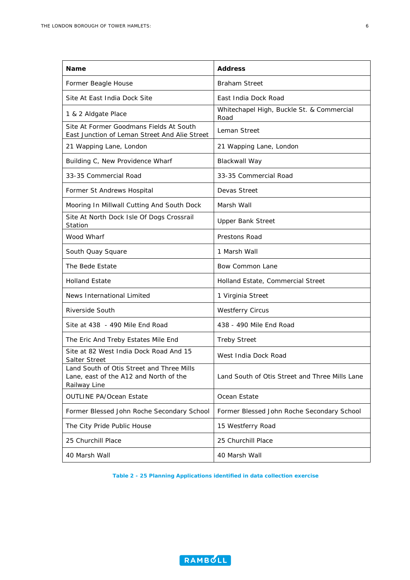| Name                                                                                                | <b>Address</b>                                    |
|-----------------------------------------------------------------------------------------------------|---------------------------------------------------|
| Former Beagle House                                                                                 | <b>Braham Street</b>                              |
| Site At East India Dock Site                                                                        | East India Dock Road                              |
| 1 & 2 Aldgate Place                                                                                 | Whitechapel High, Buckle St. & Commercial<br>Road |
| Site At Former Goodmans Fields At South<br>East Junction of Leman Street And Alie Street            | Leman Street                                      |
| 21 Wapping Lane, London                                                                             | 21 Wapping Lane, London                           |
| Building C, New Providence Wharf                                                                    | Blackwall Way                                     |
| 33-35 Commercial Road                                                                               | 33-35 Commercial Road                             |
| Former St Andrews Hospital                                                                          | Devas Street                                      |
| Mooring In Millwall Cutting And South Dock                                                          | Marsh Wall                                        |
| Site At North Dock Isle Of Dogs Crossrail<br>Station                                                | <b>Upper Bank Street</b>                          |
| Wood Wharf                                                                                          | Prestons Road                                     |
| South Quay Square                                                                                   | 1 Marsh Wall                                      |
| The Bede Estate                                                                                     | Bow Common Lane                                   |
| <b>Holland Estate</b>                                                                               | Holland Estate, Commercial Street                 |
| News International Limited                                                                          | 1 Virginia Street                                 |
| Riverside South                                                                                     | <b>Westferry Circus</b>                           |
| Site at 438 - 490 Mile End Road                                                                     | 438 - 490 Mile End Road                           |
| The Eric And Treby Estates Mile End                                                                 | <b>Treby Street</b>                               |
| Site at 82 West India Dock Road And 15<br>Salter Street                                             | West India Dock Road                              |
| Land South of Otis Street and Three Mills<br>Lane, east of the A12 and North of the<br>Railway Line | Land South of Otis Street and Three Mills Lane    |
| <b>OUTLINE PA/Ocean Estate</b>                                                                      | Ocean Estate                                      |
| Former Blessed John Roche Secondary School                                                          | Former Blessed John Roche Secondary School        |
| The City Pride Public House                                                                         | 15 Westferry Road                                 |
| 25 Churchill Place                                                                                  | 25 Churchill Place                                |
| 40 Marsh Wall                                                                                       | 40 Marsh Wall                                     |

**Table 2 - 25 Planning Applications identified in data collection exercise** 

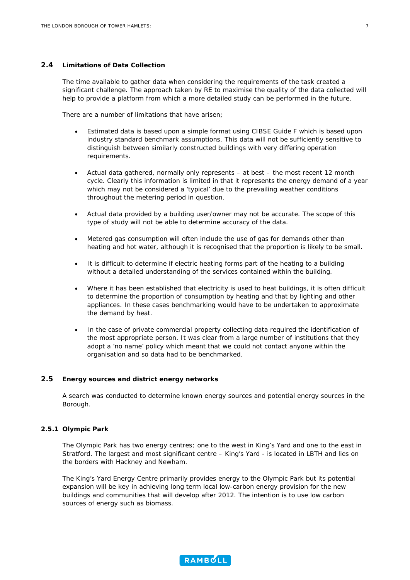#### **2.4 Limitations of Data Collection**

The time available to gather data when considering the requirements of the task created a significant challenge. The approach taken by RE to maximise the quality of the data collected will help to provide a platform from which a more detailed study can be performed in the future.

There are a number of limitations that have arisen;

- Estimated data is based upon a simple format using CIBSE Guide F which is based upon industry standard benchmark assumptions. This data will not be sufficiently sensitive to distinguish between similarly constructed buildings with very differing operation requirements.
- Actual data gathered, normally only represents at best the most recent 12 month cycle. Clearly this information is limited in that it represents the energy demand of a year which may not be considered a 'typical' due to the prevailing weather conditions throughout the metering period in question.
- Actual data provided by a building user/owner may not be accurate. The scope of this type of study will not be able to determine accuracy of the data.
- Metered gas consumption will often include the use of gas for demands other than heating and hot water, although it is recognised that the proportion is likely to be small.
- It is difficult to determine if electric heating forms part of the heating to a building without a detailed understanding of the services contained within the building.
- Where it has been established that electricity is used to heat buildings, it is often difficult to determine the proportion of consumption by heating and that by lighting and other appliances. In these cases benchmarking would have to be undertaken to approximate the demand by heat.
- In the case of private commercial property collecting data required the identification of the most appropriate person. It was clear from a large number of institutions that they adopt a 'no name' policy which meant that we could not contact anyone within the organisation and so data had to be benchmarked.

#### **2.5 Energy sources and district energy networks**

A search was conducted to determine known energy sources and potential energy sources in the Borough.

#### **2.5.1 Olympic Park**

The Olympic Park has two energy centres; one to the west in King's Yard and one to the east in Stratford. The largest and most significant centre – King's Yard - is located in LBTH and lies on the borders with Hackney and Newham.

The King's Yard Energy Centre primarily provides energy to the Olympic Park but its potential expansion will be key in achieving long term local low-carbon energy provision for the new buildings and communities that will develop after 2012. The intention is to use low carbon sources of energy such as biomass.

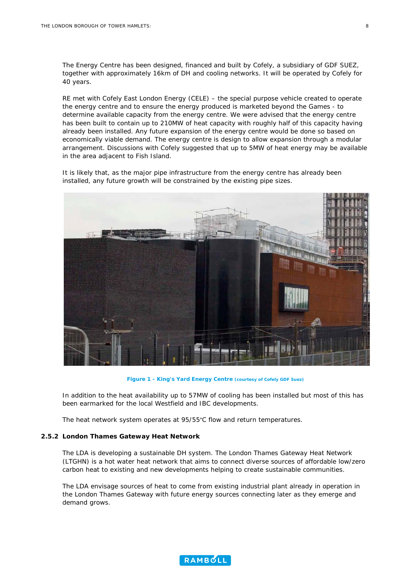The Energy Centre has been designed, financed and built by Cofely, a subsidiary of GDF SUEZ, together with approximately 16km of DH and cooling networks. It will be operated by Cofely for 40 years.

RE met with Cofely East London Energy (CELE) – the special purpose vehicle created to operate the energy centre and to ensure the energy produced is marketed beyond the Games - to determine available capacity from the energy centre. We were advised that the energy centre has been built to contain up to 210MW of heat capacity with roughly half of this capacity having already been installed. Any future expansion of the energy centre would be done so based on economically viable demand. The energy centre is design to allow expansion through a modular arrangement. Discussions with Cofely suggested that up to 5MW of heat energy may be available in the area adjacent to Fish Island.

It is likely that, as the major pipe infrastructure from the energy centre has already been installed, any future growth will be constrained by the existing pipe sizes.



**Figure 1 - King's Yard Energy Centre (courtesy of Cofely GDF Suez)**

In addition to the heat availability up to 57MW of cooling has been installed but most of this has been earmarked for the local Westfield and IBC developments.

The heat network system operates at 95/55°C flow and return temperatures.

#### **2.5.2 London Thames Gateway Heat Network**

The LDA is developing a sustainable DH system. The London Thames Gateway Heat Network (LTGHN) is a hot water heat network that aims to connect diverse sources of affordable low/zero carbon heat to existing and new developments helping to create sustainable communities.

The LDA envisage sources of heat to come from existing industrial plant already in operation in the London Thames Gateway with future energy sources connecting later as they emerge and demand grows.

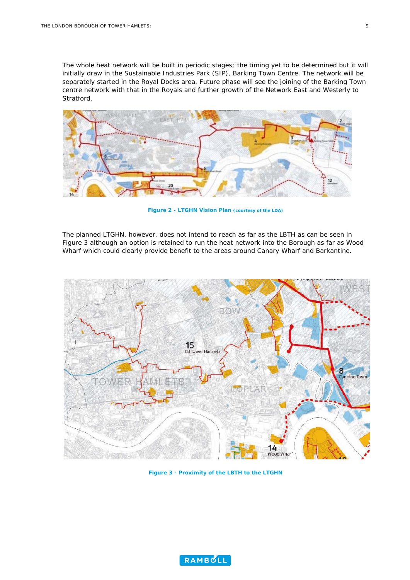The whole heat network will be built in periodic stages; the timing yet to be determined but it will initially draw in the Sustainable Industries Park (SIP), Barking Town Centre. The network will be separately started in the Royal Docks area. Future phase will see the joining of the Barking Town centre network with that in the Royals and further growth of the Network East and Westerly to Stratford.



**Figure 2 - LTGHN Vision Plan (courtesy of the LDA)**

The planned LTGHN, however, does not intend to reach as far as the LBTH as can be seen in [Figure 3](#page-10-0) although an option is retained to run the heat network into the Borough as far as Wood Wharf which could clearly provide benefit to the areas around Canary Wharf and Barkantine.



<span id="page-10-0"></span>**Figure 3 - Proximity of the LBTH to the LTGHN** 

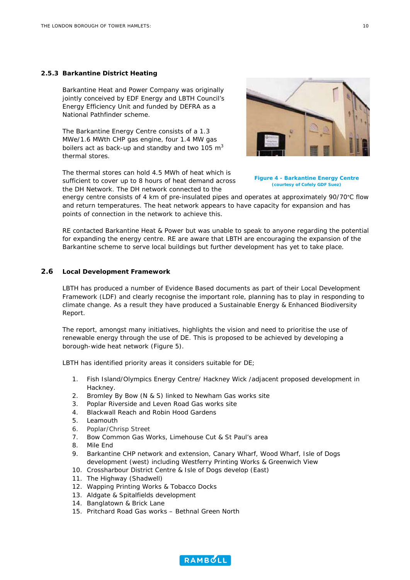#### **2.5.3 Barkantine District Heating**

Barkantine Heat and Power Company was originally jointly conceived by EDF Energy and LBTH Council's Energy Efficiency Unit and funded by DEFRA as a National Pathfinder scheme.

The Barkantine Energy Centre consists of a 1.3 MWe/1.6 MWth CHP gas engine, four 1.4 MW gas boilers act as back-up and standby and two 105  $m<sup>3</sup>$ thermal stores.

The thermal stores can hold 4.5 MWh of heat which is sufficient to cover up to 8 hours of heat demand across the DH Network. The DH network connected to the

energy centre consists of 4 km of pre-insulated pipes and operates at approximately 90/70°C flow and return temperatures. The heat network appears to have capacity for expansion and has points of connection in the network to achieve this.

RE contacted Barkantine Heat & Power but was unable to speak to anyone regarding the potential for expanding the energy centre. RE are aware that LBTH are encouraging the expansion of the Barkantine scheme to serve local buildings but further development has yet to take place.

#### **2.6 Local Development Framework**

LBTH has produced a number of Evidence Based documents as part of their Local Development Framework (LDF) and clearly recognise the important role, planning has to play in responding to climate change. As a result they have produced a Sustainable Energy & Enhanced Biodiversity Report.

The report, amongst many initiatives, highlights the vision and need to prioritise the use of renewable energy through the use of DE. This is proposed to be achieved by developing a borough-wide heat network [\(Figure 5](#page-12-0)).

LBTH has identified priority areas it considers suitable for DE;

- 1. Fish Island/Olympics Energy Centre/ Hackney Wick /adjacent proposed development in Hackney.
- 2. Bromley By Bow (N & S) linked to Newham Gas works site
- 3. Poplar Riverside and Leven Road Gas works site
- 4. Blackwall Reach and Robin Hood Gardens
- 5. Leamouth
- 6. Poplar/Chrisp Street
- 7. Bow Common Gas Works, Limehouse Cut & St Paul's area
- 8. Mile End
- 9. Barkantine CHP network and extension, Canary Wharf, Wood Wharf, Isle of Dogs development (west) including Westferry Printing Works & Greenwich View
- 10. Crossharbour District Centre & Isle of Dogs develop (East)
- 11. The Highway (Shadwell)
- 12. Wapping Printing Works & Tobacco Docks
- 13. Aldgate & Spitalfields development
- 14. Banglatown & Brick Lane
- 15. Pritchard Road Gas works Bethnal Green North

**Figure 4 - Barkantine Energy Centre (courtesy of Cofely GDF Suez)** 



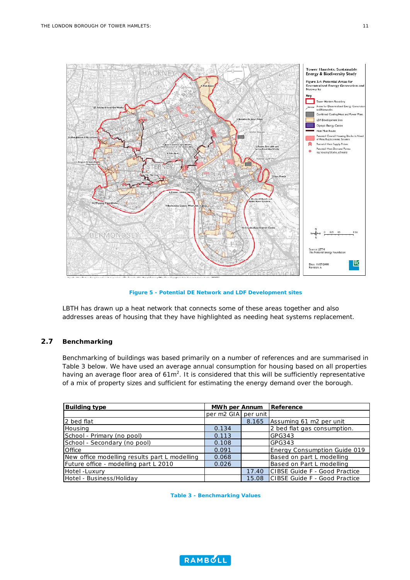

**Figure 5 - Potential DE Network and LDF Development sites** 

<span id="page-12-0"></span>LBTH has drawn up a heat network that connects some of these areas together and also addresses areas of housing that they have highlighted as needing heat systems replacement.

#### **2.7 Benchmarking**

Benchmarking of buildings was based primarily on a number of references and are summarised in [Table 3](#page-12-1) below. We have used an average annual consumption for housing based on all properties having an average floor area of  $61m^2$ . It is considered that this will be sufficiently representative of a mix of property sizes and sufficient for estimating the energy demand over the borough.

<span id="page-12-1"></span>

| <b>Building type</b>                          | MWh per Annum       |       | Reference                           |
|-----------------------------------------------|---------------------|-------|-------------------------------------|
|                                               | per m2 GIA per unit |       |                                     |
| 2 bed flat                                    |                     | 8.165 | Assuming 61 m2 per unit             |
| Housing                                       | 0.134               |       | 2 bed flat gas consumption.         |
| School - Primary (no pool)                    | 0.113               |       | GPG343                              |
| School - Secondary (no pool)                  | 0.108               |       | GPG343                              |
| Office                                        | 0.091               |       | <b>Energy Consumption Guide 019</b> |
| New office modelling results part L modelling | 0.068               |       | Based on part L modelling           |
| Future office - modelling part L 2010         | 0.026               |       | Based on Part L modelling           |
| Hotel -Luxury                                 |                     | 17.40 | CIBSE Guide F - Good Practice       |
| Hotel - Business/Holiday                      |                     | 15.08 | CIBSE Guide F - Good Practice       |

**Table 3 - Benchmarking Values** 

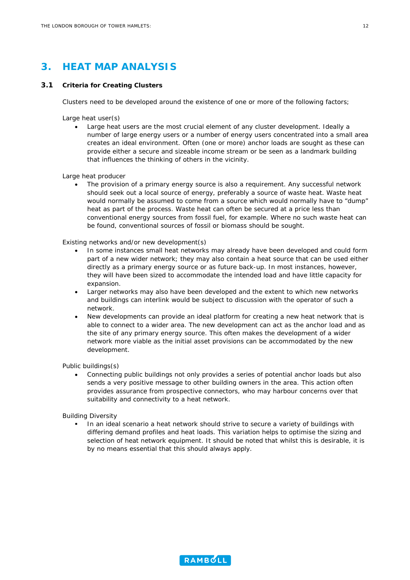## <span id="page-13-0"></span>**3. HEAT MAP ANALYSIS**

#### <span id="page-13-1"></span>**3.1 Criteria for Creating Clusters**

Clusters need to be developed around the existence of one or more of the following factors;

Large heat user(s)

• Large heat users are the most crucial element of any cluster development. Ideally a number of large energy users or a number of energy users concentrated into a small area creates an ideal environment. Often (one or more) anchor loads are sought as these can provide either a secure and sizeable income stream or be seen as a landmark building that influences the thinking of others in the vicinity.

Large heat producer

The provision of a primary energy source is also a requirement. Any successful network should seek out a local source of energy, preferably a source of waste heat. Waste heat would normally be assumed to come from a source which would normally have to "dump" heat as part of the process. Waste heat can often be secured at a price less than conventional energy sources from fossil fuel, for example. Where no such waste heat can be found, conventional sources of fossil or biomass should be sought.

Existing networks and/or new development(s)

- In some instances small heat networks may already have been developed and could form part of a new wider network; they may also contain a heat source that can be used either directly as a primary energy source or as future back-up. In most instances, however, they will have been sized to accommodate the intended load and have little capacity for expansion.
- Larger networks may also have been developed and the extent to which new networks and buildings can interlink would be subject to discussion with the operator of such a network.
- New developments can provide an ideal platform for creating a new heat network that is able to connect to a wider area. The new development can act as the anchor load and as the site of any primary energy source. This often makes the development of a wider network more viable as the initial asset provisions can be accommodated by the new development.

Public buildings(s)

• Connecting public buildings not only provides a series of potential anchor loads but also sends a very positive message to other building owners in the area. This action often provides assurance from prospective connectors, who may harbour concerns over that suitability and connectivity to a heat network.

Building Diversity

 In an ideal scenario a heat network should strive to secure a variety of buildings with differing demand profiles and heat loads. This variation helps to optimise the sizing and selection of heat network equipment. It should be noted that whilst this is desirable, it is by no means essential that this should always apply.

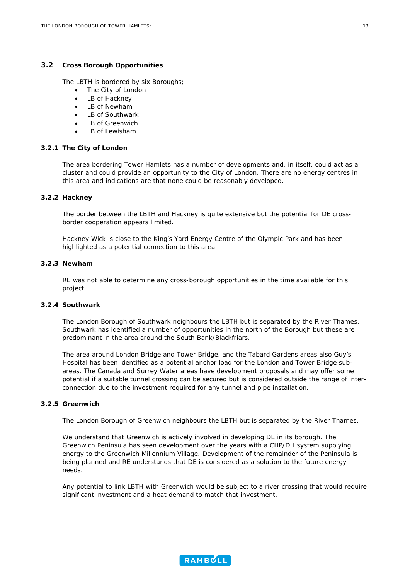#### **3.2 Cross Borough Opportunities**

The LBTH is bordered by six Boroughs;

- The City of London
- LB of Hackney
- LB of Newham
- LB of Southwark
- LB of Greenwich
- LB of Lewisham

#### **3.2.1 The City of London**

The area bordering Tower Hamlets has a number of developments and, in itself, could act as a cluster and could provide an opportunity to the City of London. There are no energy centres in this area and indications are that none could be reasonably developed.

#### **3.2.2 Hackney**

The border between the LBTH and Hackney is quite extensive but the potential for DE crossborder cooperation appears limited.

Hackney Wick is close to the King's Yard Energy Centre of the Olympic Park and has been highlighted as a potential connection to this area.

#### **3.2.3 Newham**

RE was not able to determine any cross-borough opportunities in the time available for this project.

#### **3.2.4 Southwark**

The London Borough of Southwark neighbours the LBTH but is separated by the River Thames. Southwark has identified a number of opportunities in the north of the Borough but these are predominant in the area around the South Bank/Blackfriars.

The area around London Bridge and Tower Bridge, and the Tabard Gardens areas also Guy's Hospital has been identified as a potential anchor load for the London and Tower Bridge subareas. The Canada and Surrey Water areas have development proposals and may offer some potential if a suitable tunnel crossing can be secured but is considered outside the range of interconnection due to the investment required for any tunnel and pipe installation.

#### **3.2.5 Greenwich**

The London Borough of Greenwich neighbours the LBTH but is separated by the River Thames.

We understand that Greenwich is actively involved in developing DE in its borough. The Greenwich Peninsula has seen development over the years with a CHP/DH system supplying energy to the Greenwich Millennium Village. Development of the remainder of the Peninsula is being planned and RE understands that DE is considered as a solution to the future energy needs.

Any potential to link LBTH with Greenwich would be subject to a river crossing that would require significant investment and a heat demand to match that investment.

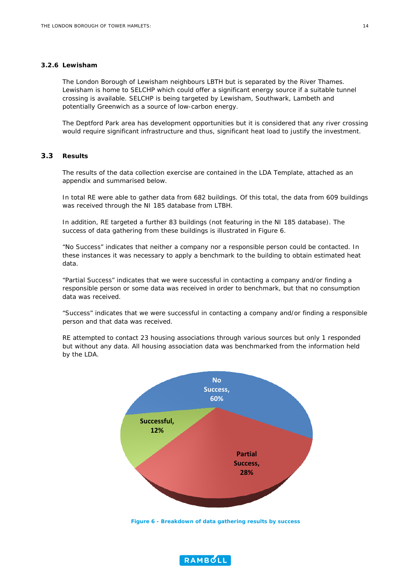#### **3.2.6 Lewisham**

The London Borough of Lewisham neighbours LBTH but is separated by the River Thames. Lewisham is home to SELCHP which could offer a significant energy source if a suitable tunnel crossing is available. SELCHP is being targeted by Lewisham, Southwark, Lambeth and potentially Greenwich as a source of low-carbon energy.

The Deptford Park area has development opportunities but it is considered that any river crossing would require significant infrastructure and thus, significant heat load to justify the investment.

#### **3.3 Results**

The results of the data collection exercise are contained in the LDA Template, attached as an appendix and summarised below.

In total RE were able to gather data from 682 buildings. Of this total, the data from 609 buildings was received through the NI 185 database from LTBH.

In addition, RE targeted a further 83 buildings (not featuring in the NI 185 database). The success of data gathering from these buildings is illustrated in [Figure 6](#page-15-0).

"No Success" indicates that neither a company nor a responsible person could be contacted. In these instances it was necessary to apply a benchmark to the building to obtain estimated heat data.

"Partial Success" indicates that we were successful in contacting a company and/or finding a responsible person or some data was received in order to benchmark, but that no consumption data was received.

"Success" indicates that we were successful in contacting a company and/or finding a responsible person and that data was received.

RE attempted to contact 23 housing associations through various sources but only 1 responded but without any data. All housing association data was benchmarked from the information held by the LDA.



<span id="page-15-0"></span>**Figure 6 - Breakdown of data gathering results by success** 

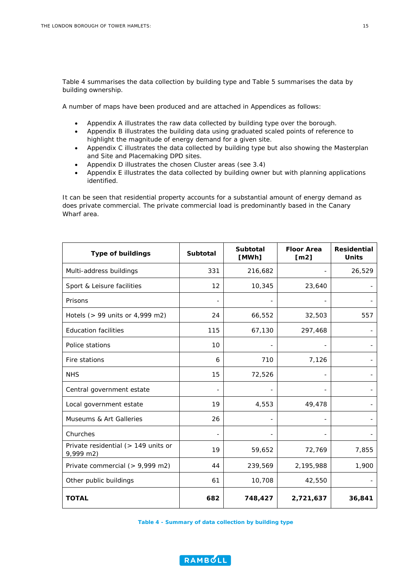[Table 4](#page-16-0) summarises the data collection by building type and [Table 5](#page-17-0) summarises the data by building ownership.

A number of maps have been produced and are attached in Appendices as follows:

- Appendix A illustrates the raw data collected by building type over the borough.
- Appendix B illustrates the building data using graduated scaled points of reference to highlight the magnitude of energy demand for a given site.
- Appendix C illustrates the data collected by building type but also showing the Masterplan and Site and Placemaking DPD sites.
- Appendix D illustrates the chosen Cluster areas (see 3.4)
- Appendix E illustrates the data collected by building owner but with planning applications identified.

It can be seen that residential property accounts for a substantial amount of energy demand as does private commercial. The private commercial load is predominantly based in the Canary Wharf area.

| <b>Type of buildings</b>                         | <b>Subtotal</b> | <b>Subtotal</b><br>[MWh] | <b>Floor Area</b><br>[m2] | <b>Residential</b><br><b>Units</b> |
|--------------------------------------------------|-----------------|--------------------------|---------------------------|------------------------------------|
| Multi-address buildings                          | 331             | 216,682                  |                           | 26,529                             |
| Sport & Leisure facilities                       | 12              | 10,345                   | 23,640                    |                                    |
| Prisons                                          |                 |                          |                           |                                    |
| Hotels (> 99 units or 4,999 m2)                  | 24              | 66,552                   | 32,503                    | 557                                |
| <b>Education facilities</b>                      | 115             | 67,130                   | 297,468                   |                                    |
| Police stations                                  | 10              |                          |                           |                                    |
| Fire stations                                    | 6               | 710                      | 7,126                     |                                    |
| <b>NHS</b>                                       | 15              | 72,526                   |                           |                                    |
| Central government estate                        |                 |                          |                           |                                    |
| Local government estate                          | 19              | 4,553                    | 49,478                    |                                    |
| <b>Museums &amp; Art Galleries</b>               | 26              |                          |                           |                                    |
| Churches                                         |                 |                          |                           |                                    |
| Private residential (> 149 units or<br>9,999 m2) | 19              | 59,652                   | 72,769                    | 7,855                              |
| Private commercial (> 9,999 m2)                  | 44              | 239,569                  | 2,195,988                 | 1,900                              |
| Other public buildings                           | 61              | 10,708                   | 42,550                    |                                    |
| <b>TOTAL</b>                                     | 682             | 748,427                  | 2,721,637                 | 36,841                             |

<span id="page-16-0"></span>**Table 4 - Summary of data collection by building type** 

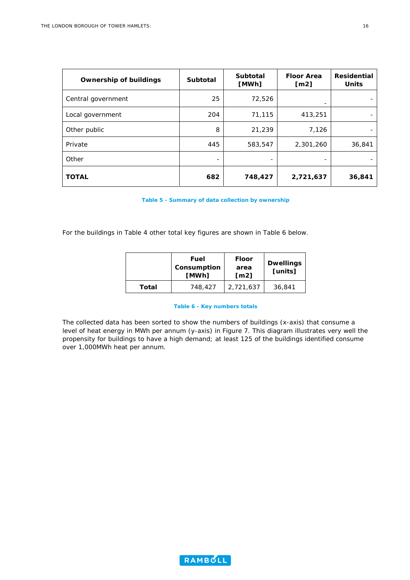| <b>Ownership of buildings</b> | <b>Subtotal</b>          | <b>Subtotal</b><br>[MWh] | <b>Floor Area</b><br>[m2] | <b>Residential</b><br><b>Units</b> |
|-------------------------------|--------------------------|--------------------------|---------------------------|------------------------------------|
| Central government            | 25                       | 72,526                   |                           |                                    |
| Local government              | 204                      | 71,115                   | 413,251                   |                                    |
| Other public                  | 8                        | 21,239                   | 7,126                     |                                    |
| Private                       | 445                      | 583,547                  | 2,301,260                 | 36,841                             |
| Other                         | $\overline{\phantom{0}}$ |                          | $\overline{\phantom{0}}$  |                                    |
| <b>TOTAL</b>                  | 682                      | 748,427                  | 2,721,637                 | 36,841                             |

**Table 5 - Summary of data collection by ownership** 

<span id="page-17-0"></span>For the buildings in [Table 4](#page-16-0) other total key figures are shown in [Table 6](#page-17-1) below.

|       | Fuel<br>Consumption<br>[MWh] | <b>Floor</b><br>area<br>$\mathsf{Im}21$ | <b>Dwellings</b><br>[units] |
|-------|------------------------------|-----------------------------------------|-----------------------------|
| Total | 748,427                      | 2,721,637                               | 36,841                      |

#### **Table 6 - Key numbers totals**

<span id="page-17-1"></span>The collected data has been sorted to show the numbers of buildings (x-axis) that consume a level of heat energy in MWh per annum (y-axis) in [Figure 7](#page-18-0). This diagram illustrates very well the propensity for buildings to have a high demand; at least 125 of the buildings identified consume over 1,000MWh heat per annum.

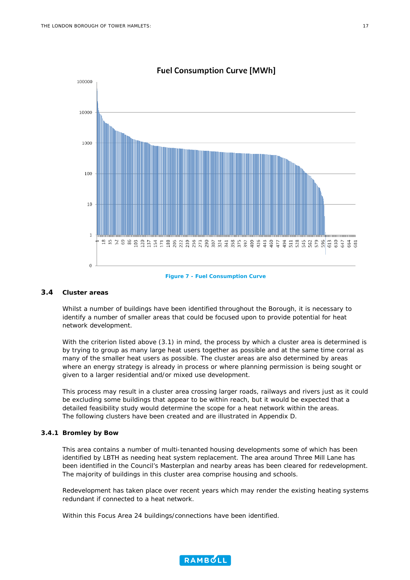

**Fuel Consumption Curve [MWh]** 

#### <span id="page-18-0"></span>**3.4 Cluster areas**

Whilst a number of buildings have been identified throughout the Borough, it is necessary to identify a number of smaller areas that could be focused upon to provide potential for heat network development.

With the criterion listed above [\(3.1](#page-13-1)) in mind, the process by which a cluster area is determined is by trying to group as many large heat users together as possible and at the same time corral as many of the smaller heat users as possible. The cluster areas are also determined by areas where an energy strategy is already in process or where planning permission is being sought or given to a larger residential and/or mixed use development.

This process may result in a cluster area crossing larger roads, railways and rivers just as it could be excluding some buildings that appear to be within reach, but it would be expected that a detailed feasibility study would determine the scope for a heat network within the areas. The following clusters have been created and are illustrated in Appendix D.

#### **3.4.1 Bromley by Bow**

This area contains a number of multi-tenanted housing developments some of which has been identified by LBTH as needing heat system replacement. The area around Three Mill Lane has been identified in the Council's Masterplan and nearby areas has been cleared for redevelopment. The majority of buildings in this cluster area comprise housing and schools.

Redevelopment has taken place over recent years which may render the existing heating systems redundant if connected to a heat network.

Within this Focus Area 24 buildings/connections have been identified.

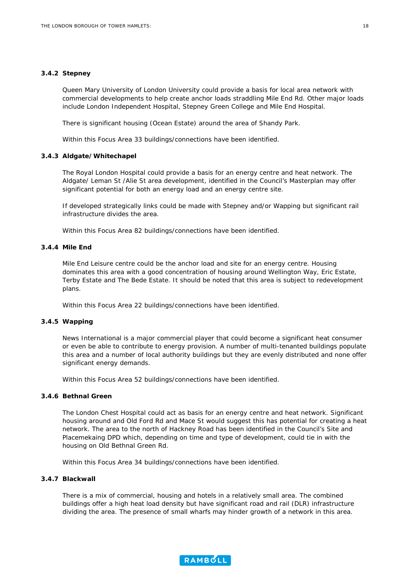#### **3.4.2 Stepney**

Queen Mary University of London University could provide a basis for local area network with commercial developments to help create anchor loads straddling Mile End Rd. Other major loads include London Independent Hospital, Stepney Green College and Mile End Hospital.

There is significant housing (Ocean Estate) around the area of Shandy Park.

Within this Focus Area 33 buildings/connections have been identified.

#### **3.4.3 Aldgate/Whitechapel**

The Royal London Hospital could provide a basis for an energy centre and heat network. The Aldgate/ Leman St /Alie St area development, identified in the Council's Masterplan may offer significant potential for both an energy load and an energy centre site.

If developed strategically links could be made with Stepney and/or Wapping but significant rail infrastructure divides the area.

Within this Focus Area 82 buildings/connections have been identified.

#### **3.4.4 Mile End**

Mile End Leisure centre could be the anchor load and site for an energy centre. Housing dominates this area with a good concentration of housing around Wellington Way, Eric Estate, Terby Estate and The Bede Estate. It should be noted that this area is subject to redevelopment plans.

Within this Focus Area 22 buildings/connections have been identified.

#### **3.4.5 Wapping**

News International is a major commercial player that could become a significant heat consumer or even be able to contribute to energy provision. A number of multi-tenanted buildings populate this area and a number of local authority buildings but they are evenly distributed and none offer significant energy demands.

Within this Focus Area 52 buildings/connections have been identified.

#### **3.4.6 Bethnal Green**

The London Chest Hospital could act as basis for an energy centre and heat network. Significant housing around and Old Ford Rd and Mace St would suggest this has potential for creating a heat network. The area to the north of Hackney Road has been identified in the Council's Site and Placemekaing DPD which, depending on time and type of development, could tie in with the housing on Old Bethnal Green Rd.

Within this Focus Area 34 buildings/connections have been identified.

#### **3.4.7 Blackwall**

There is a mix of commercial, housing and hotels in a relatively small area. The combined buildings offer a high heat load density but have significant road and rail (DLR) infrastructure dividing the area. The presence of small wharfs may hinder growth of a network in this area.

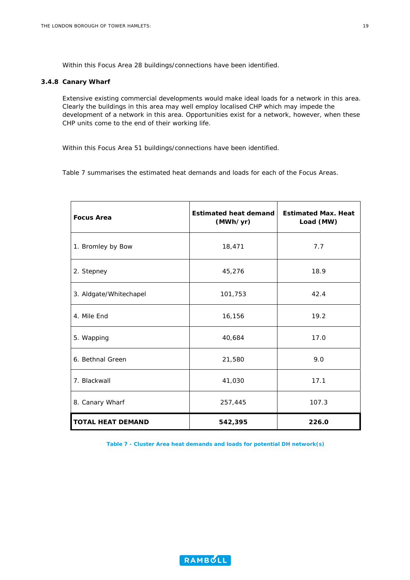Within this Focus Area 28 buildings/connections have been identified.

#### **3.4.8 Canary Wharf**

Extensive existing commercial developments would make ideal loads for a network in this area. Clearly the buildings in this area may well employ localised CHP which may impede the development of a network in this area. Opportunities exist for a network, however, when these CHP units come to the end of their working life.

Within this Focus Area 51 buildings/connections have been identified.

[Table 7](#page-20-0) summarises the estimated heat demands and loads for each of the Focus Areas.

| <b>Focus Area</b>        | <b>Estimated heat demand</b><br>(MWh/yr) | <b>Estimated Max. Heat</b><br>Load (MW) |
|--------------------------|------------------------------------------|-----------------------------------------|
| 1. Bromley by Bow        | 18,471                                   | 7.7                                     |
| 2. Stepney               | 45,276                                   | 18.9                                    |
| 3. Aldgate/Whitechapel   | 101,753                                  | 42.4                                    |
| 4. Mile End              | 16,156                                   | 19.2                                    |
| 5. Wapping               | 40,684                                   | 17.0                                    |
| 6. Bethnal Green         | 21,580                                   | 9.0                                     |
| 7. Blackwall             | 41,030                                   | 17.1                                    |
| 8. Canary Wharf          | 257,445                                  | 107.3                                   |
| <b>TOTAL HEAT DEMAND</b> | 542,395                                  | 226.0                                   |

<span id="page-20-0"></span>**Table 7 - Cluster Area heat demands and loads for potential DH network(s)** 

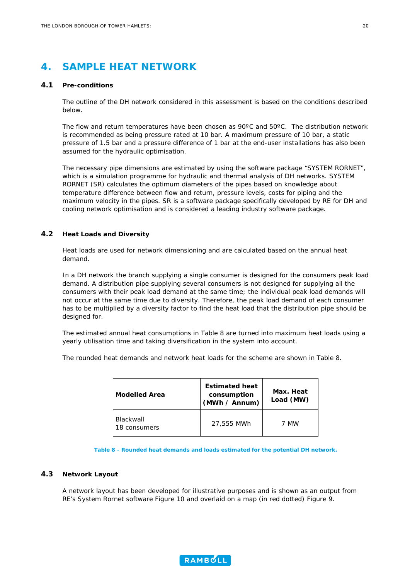## <span id="page-21-0"></span>**4. SAMPLE HEAT NETWORK**

#### **4.1 Pre-conditions**

The outline of the DH network considered in this assessment is based on the conditions described below.

The flow and return temperatures have been chosen as 90ºC and 50ºC. The distribution network is recommended as being pressure rated at 10 bar. A maximum pressure of 10 bar, a static pressure of 1.5 bar and a pressure difference of 1 bar at the end-user installations has also been assumed for the hydraulic optimisation.

The necessary pipe dimensions are estimated by using the software package "SYSTEM RORNET", which is a simulation programme for hydraulic and thermal analysis of DH networks. SYSTEM RORNET (SR) calculates the optimum diameters of the pipes based on knowledge about temperature difference between flow and return, pressure levels, costs for piping and the maximum velocity in the pipes. SR is a software package specifically developed by RE for DH and cooling network optimisation and is considered a leading industry software package.

#### **4.2 Heat Loads and Diversity**

Heat loads are used for network dimensioning and are calculated based on the annual heat demand.

In a DH network the branch supplying a single consumer is designed for the consumers peak load demand. A distribution pipe supplying several consumers is not designed for supplying all the consumers with their peak load demand at the same time; the individual peak load demands will not occur at the same time due to diversity. Therefore, the peak load demand of each consumer has to be multiplied by a diversity factor to find the heat load that the distribution pipe should be designed for.

The estimated annual heat consumptions in [Table 8](#page-21-1) are turned into maximum heat loads using a yearly utilisation time and taking diversification in the system into account.

The rounded heat demands and network heat loads for the scheme are shown in [Table 8](#page-21-1).

| <b>Modelled Area</b>      | <b>Estimated heat</b><br>consumption<br>(MWh / Annum) | Max. Heat<br>Load (MW) |  |
|---------------------------|-------------------------------------------------------|------------------------|--|
| Blackwall<br>18 consumers | 27,555 MWh                                            | 7 MW                   |  |

**Table 8 - Rounded heat demands and loads estimated for the potential DH network.** 

#### <span id="page-21-1"></span>**4.3 Network Layout**

A network layout has been developed for illustrative purposes and is shown as an output from RE's System Rornet software Figure 10 and overlaid on a map (in red dotted) Figure 9.

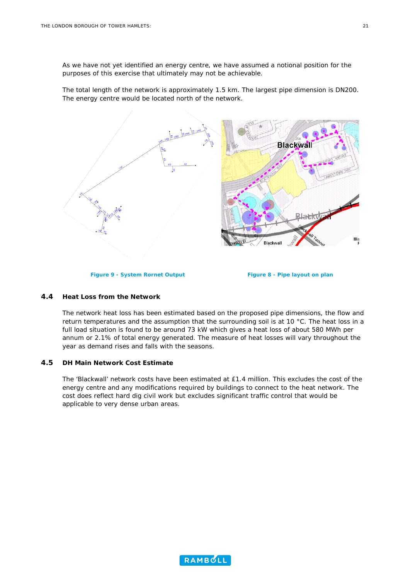As we have not yet identified an energy centre, we have assumed a notional position for the purposes of this exercise that ultimately may not be achievable.

The total length of the network is approximately 1.5 km. The largest pipe dimension is DN200. The energy centre would be located north of the network.



#### **4.4 Heat Loss from the Network**

The network heat loss has been estimated based on the proposed pipe dimensions, the flow and return temperatures and the assumption that the surrounding soil is at 10 °C. The heat loss in a full load situation is found to be around 73 kW which gives a heat loss of about 580 MWh per annum or 2.1% of total energy generated. The measure of heat losses will vary throughout the year as demand rises and falls with the seasons.

#### **4.5 DH Main Network Cost Estimate**

The 'Blackwall' network costs have been estimated at £1.4 million. This excludes the cost of the energy centre and any modifications required by buildings to connect to the heat network. The cost does reflect hard dig civil work but excludes significant traffic control that would be applicable to very dense urban areas.

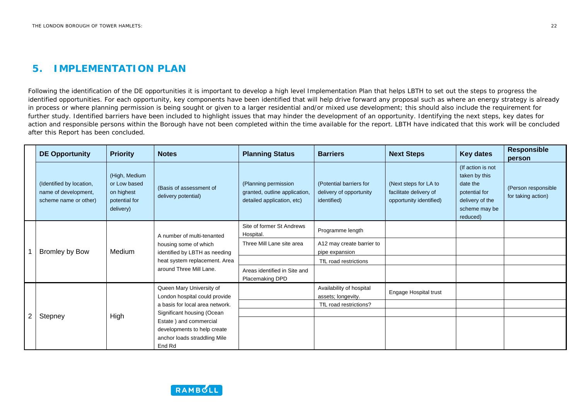#### **5.IMPLEMENTATION PLAN**

Following the identification of the DE opportunities it is important to develop a high level Implementation Plan that helps LBTH to set out the steps to progress the identified opportunities. For each opportunity, key components have been identified that will help drive forward any proposal such as where an energy strategy is already in process or where planning permission is being sought or given to a larger residential and/or mixed use development; this should also include the requirement for further study. Identified barriers have been included to highlight issues that may hinder the development of an opportunity. Identifying the next steps, key dates for action and responsible persons within the Borough have not been completed within the time available for the report. LBTH have indicated that this work will be concluded after this Report has been concluded.

|   | <b>DE Opportunity</b>                                                     | <b>Priority</b>                                                           | <b>Notes</b>                                                                                                                                     | <b>Planning Status</b>                                                              | <b>Barriers</b>                                                   | <b>Next Steps</b>                                                          | <b>Key dates</b>                                                                                                | <b>Responsible</b><br>person              |  |
|---|---------------------------------------------------------------------------|---------------------------------------------------------------------------|--------------------------------------------------------------------------------------------------------------------------------------------------|-------------------------------------------------------------------------------------|-------------------------------------------------------------------|----------------------------------------------------------------------------|-----------------------------------------------------------------------------------------------------------------|-------------------------------------------|--|
|   | (Identified by location,<br>name of development,<br>scheme name or other) | (High, Medium<br>or Low based<br>on highest<br>potential for<br>delivery) | (Basis of assessment of<br>delivery potential)                                                                                                   | (Planning permission<br>granted, outline application,<br>detailed application, etc) | (Potential barriers for<br>delivery of opportunity<br>identified) | (Next steps for LA to<br>facilitate delivery of<br>opportunity identified) | (If action is not<br>taken by this<br>date the<br>potential for<br>delivery of the<br>scheme may be<br>reduced) | (Person responsible<br>for taking action) |  |
|   | <b>Bromley by Bow</b>                                                     | Medium                                                                    | A number of multi-tenanted<br>housing some of which<br>identified by LBTH as needing<br>heat system replacement. Area<br>around Three Mill Lane. | Site of former St Andrews<br>Hospital.                                              | Programme length                                                  |                                                                            |                                                                                                                 |                                           |  |
|   |                                                                           |                                                                           |                                                                                                                                                  | Three Mill Lane site area                                                           | A12 may create barrier to<br>pipe expansion                       |                                                                            |                                                                                                                 |                                           |  |
|   |                                                                           |                                                                           |                                                                                                                                                  |                                                                                     | TfL road restrictions                                             |                                                                            |                                                                                                                 |                                           |  |
|   |                                                                           |                                                                           |                                                                                                                                                  | Areas identified in Site and<br>Placemaking DPD                                     |                                                                   |                                                                            |                                                                                                                 |                                           |  |
|   |                                                                           |                                                                           |                                                                                                                                                  | Queen Mary University of<br>London hospital could provide                           |                                                                   | Availability of hospital<br>assets; longevity.                             | Engage Hospital trust                                                                                           |                                           |  |
|   |                                                                           |                                                                           | a basis for local area network.                                                                                                                  |                                                                                     | TfL road restrictions?                                            |                                                                            |                                                                                                                 |                                           |  |
| 2 | Stepney                                                                   | High                                                                      | Significant housing (Ocean                                                                                                                       |                                                                                     |                                                                   |                                                                            |                                                                                                                 |                                           |  |
|   |                                                                           |                                                                           | Estate ) and commercial<br>developments to help create                                                                                           |                                                                                     |                                                                   |                                                                            |                                                                                                                 |                                           |  |
|   |                                                                           |                                                                           | anchor loads straddling Mile                                                                                                                     |                                                                                     |                                                                   |                                                                            |                                                                                                                 |                                           |  |
|   |                                                                           |                                                                           | End Rd                                                                                                                                           |                                                                                     |                                                                   |                                                                            |                                                                                                                 |                                           |  |

<span id="page-23-0"></span>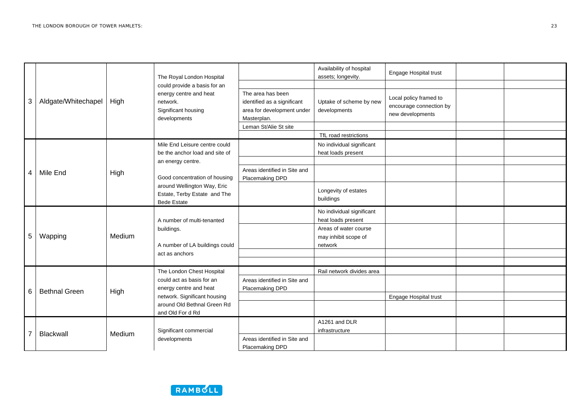|   | Aldgate/Whitechapel  | High   | The Royal London Hospital<br>could provide a basis for an<br>energy centre and heat<br>network.<br>Significant housing<br>developments |                                                                                               | Availability of hospital<br>assets; longevity.           | Engage Hospital trust                                                 |  |
|---|----------------------|--------|----------------------------------------------------------------------------------------------------------------------------------------|-----------------------------------------------------------------------------------------------|----------------------------------------------------------|-----------------------------------------------------------------------|--|
|   |                      |        |                                                                                                                                        |                                                                                               |                                                          |                                                                       |  |
| 3 |                      |        |                                                                                                                                        | The area has been<br>identified as a significant<br>area for development under<br>Masterplan. | Uptake of scheme by new<br>developments                  | Local policy framed to<br>encourage connection by<br>new developments |  |
|   |                      |        |                                                                                                                                        | Leman St/Alie St site                                                                         |                                                          |                                                                       |  |
|   |                      |        |                                                                                                                                        |                                                                                               | TfL road restrictions                                    |                                                                       |  |
|   |                      |        | Mile End Leisure centre could<br>be the anchor load and site of                                                                        |                                                                                               | No individual significant<br>heat loads present          |                                                                       |  |
|   |                      |        | an energy centre.                                                                                                                      |                                                                                               |                                                          |                                                                       |  |
| 4 | Mile End             | High   | Good concentration of housing                                                                                                          | Areas identified in Site and<br>Placemaking DPD                                               |                                                          |                                                                       |  |
|   |                      |        | around Wellington Way, Eric<br>Estate, Terby Estate and The<br><b>Bede Estate</b>                                                      |                                                                                               | Longevity of estates<br>buildings                        |                                                                       |  |
|   | Wapping              | Medium | A number of multi-tenanted                                                                                                             |                                                                                               | No individual significant<br>heat loads present          |                                                                       |  |
| 5 |                      |        | buildings.<br>A number of LA buildings could                                                                                           |                                                                                               | Areas of water course<br>may inhibit scope of<br>network |                                                                       |  |
|   |                      |        | act as anchors                                                                                                                         |                                                                                               |                                                          |                                                                       |  |
|   |                      |        |                                                                                                                                        |                                                                                               |                                                          |                                                                       |  |
|   |                      |        | The London Chest Hospital                                                                                                              |                                                                                               | Rail network divides area                                |                                                                       |  |
| 6 | <b>Bethnal Green</b> | High   | could act as basis for an<br>energy centre and heat                                                                                    | Areas identified in Site and<br>Placemaking DPD                                               |                                                          |                                                                       |  |
|   |                      |        | network. Significant housing                                                                                                           |                                                                                               |                                                          | Engage Hospital trust                                                 |  |
|   |                      |        | around Old Bethnal Green Rd<br>and Old For d Rd                                                                                        |                                                                                               |                                                          |                                                                       |  |
| 7 | <b>Blackwall</b>     | Medium | Significant commercial                                                                                                                 |                                                                                               | A1261 and DLR<br>infrastructure                          |                                                                       |  |
|   |                      |        | developments                                                                                                                           | Areas identified in Site and<br>Placemaking DPD                                               |                                                          |                                                                       |  |
|   |                      |        |                                                                                                                                        |                                                                                               |                                                          |                                                                       |  |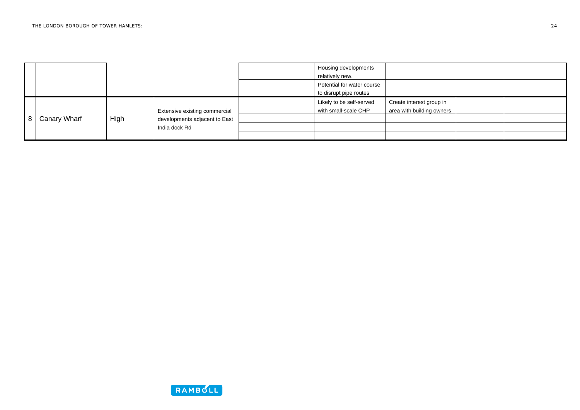|                |              |      |                                                                                 | Housing developments<br>relatively new.              |                                                       |  |
|----------------|--------------|------|---------------------------------------------------------------------------------|------------------------------------------------------|-------------------------------------------------------|--|
|                |              |      |                                                                                 | Potential for water course<br>to disrupt pipe routes |                                                       |  |
| $\overline{8}$ | Canary Wharf | High | Extensive existing commercial<br>developments adjacent to East<br>India dock Rd | Likely to be self-served<br>with small-scale CHP     | Create interest group in<br>area with building owners |  |
|                |              |      |                                                                                 |                                                      |                                                       |  |
|                |              |      |                                                                                 |                                                      |                                                       |  |

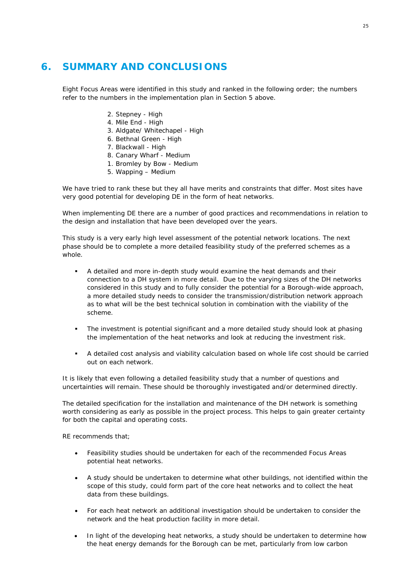## <span id="page-26-0"></span>**6. SUMMARY AND CONCLUSIONS**

Eight Focus Areas were identified in this study and ranked in the following order; the numbers refer to the numbers in the implementation plan in Section 5 above.

- 2. Stepney High
- 4. Mile End High
- 3. Aldgate/ Whitechapel High
- 6. Bethnal Green High
- 7. Blackwall High
- 8. Canary Wharf Medium
- 1. Bromley by Bow Medium
- 5. Wapping Medium

We have tried to rank these but they all have merits and constraints that differ. Most sites have very good potential for developing DE in the form of heat networks.

When implementing DE there are a number of good practices and recommendations in relation to the design and installation that have been developed over the years.

This study is a very early high level assessment of the potential network locations. The next phase should be to complete a more detailed feasibility study of the preferred schemes as a whole.

- A detailed and more in-depth study would examine the heat demands and their connection to a DH system in more detail. Due to the varying sizes of the DH networks considered in this study and to fully consider the potential for a Borough-wide approach, a more detailed study needs to consider the transmission/distribution network approach as to what will be the best technical solution in combination with the viability of the scheme.
- The investment is potential significant and a more detailed study should look at phasing the implementation of the heat networks and look at reducing the investment risk.
- A detailed cost analysis and viability calculation based on whole life cost should be carried out on each network.

It is likely that even following a detailed feasibility study that a number of questions and uncertainties will remain. These should be thoroughly investigated and/or determined directly.

The detailed specification for the installation and maintenance of the DH network is something worth considering as early as possible in the project process. This helps to gain greater certainty for both the capital and operating costs.

RE recommends that;

- Feasibility studies should be undertaken for each of the recommended Focus Areas potential heat networks.
- A study should be undertaken to determine what other buildings, not identified within the scope of this study, could form part of the core heat networks and to collect the heat data from these buildings.
- For each heat network an additional investigation should be undertaken to consider the network and the heat production facility in more detail.
- In light of the developing heat networks, a study should be undertaken to determine how the heat energy demands for the Borough can be met, particularly from low carbon